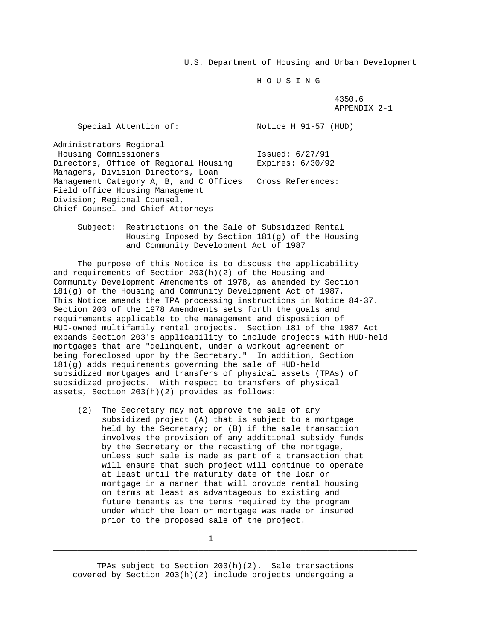U.S. Department of Housing and Urban Development

H O U S I N G

 4350.6 APPENDIX 2-1

| Special Attention of:                   | Notice H 91-57 (HUD) |
|-----------------------------------------|----------------------|
| Administrators-Reqional                 |                      |
| Housing Commissioners                   | Issued: $6/27/91$    |
| Directors, Office of Regional Housing   | Expires: $6/30/92$   |
| Managers, Division Directors, Loan      |                      |
| Management Category A, B, and C Offices | Cross References:    |
| Field office Housing Management         |                      |
| Division; Regional Counsel,             |                      |
| Chief Counsel and Chief Attorneys       |                      |

 Subject: Restrictions on the Sale of Subsidized Rental Housing Imposed by Section 181(g) of the Housing and Community Development Act of 1987

 The purpose of this Notice is to discuss the applicability and requirements of Section  $203(h)(2)$  of the Housing and Community Development Amendments of 1978, as amended by Section 181(g) of the Housing and Community Development Act of 1987. This Notice amends the TPA processing instructions in Notice 84-37. Section 203 of the 1978 Amendments sets forth the goals and requirements applicable to the management and disposition of HUD-owned multifamily rental projects. Section 181 of the 1987 Act expands Section 203's applicability to include projects with HUD-held mortgages that are "delinquent, under a workout agreement or being foreclosed upon by the Secretary." In addition, Section 181(g) adds requirements governing the sale of HUD-held subsidized mortgages and transfers of physical assets (TPAs) of subsidized projects. With respect to transfers of physical assets, Section 203(h)(2) provides as follows:

 (2) The Secretary may not approve the sale of any subsidized project (A) that is subject to a mortgage held by the Secretary; or (B) if the sale transaction involves the provision of any additional subsidy funds by the Secretary or the recasting of the mortgage, unless such sale is made as part of a transaction that will ensure that such project will continue to operate at least until the maturity date of the loan or mortgage in a manner that will provide rental housing on terms at least as advantageous to existing and future tenants as the terms required by the program under which the loan or mortgage was made or insured prior to the proposed sale of the project.

1

\_\_\_\_\_\_\_\_\_\_\_\_\_\_\_\_\_\_\_\_\_\_\_\_\_\_\_\_\_\_\_\_\_\_\_\_\_\_\_\_\_\_\_\_\_\_\_\_\_\_\_\_\_\_\_\_\_\_\_\_\_\_\_\_\_\_\_\_\_\_\_\_\_\_\_

 TPAs subject to Section 203(h)(2). Sale transactions covered by Section 203(h)(2) include projects undergoing a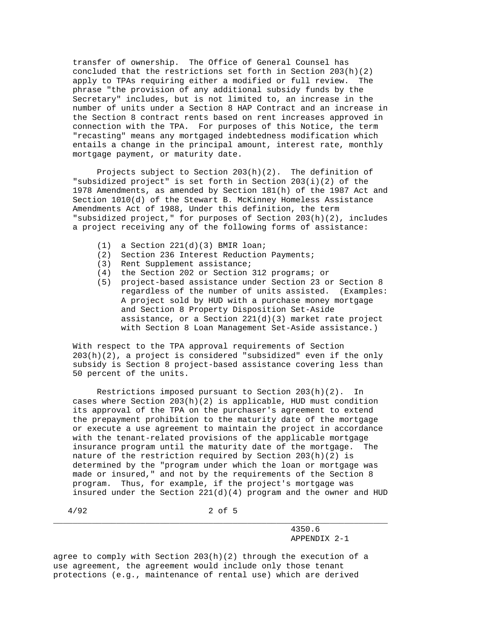transfer of ownership. The Office of General Counsel has concluded that the restrictions set forth in Section 203(h)(2) apply to TPAs requiring either a modified or full review. The phrase "the provision of any additional subsidy funds by the Secretary" includes, but is not limited to, an increase in the number of units under a Section 8 HAP Contract and an increase in the Section 8 contract rents based on rent increases approved in connection with the TPA. For purposes of this Notice, the term "recasting" means any mortgaged indebtedness modification which entails a change in the principal amount, interest rate, monthly mortgage payment, or maturity date.

 Projects subject to Section 203(h)(2). The definition of "subsidized project" is set forth in Section 203(i)(2) of the 1978 Amendments, as amended by Section 181(h) of the 1987 Act and Section 1010(d) of the Stewart B. McKinney Homeless Assistance Amendments Act of 1988, Under this definition, the term "subsidized project," for purposes of Section 203(h)(2), includes a project receiving any of the following forms of assistance:

- (1) a Section 221(d)(3) BMIR loan;
- (2) Section 236 Interest Reduction Payments;
- (3) Rent Supplement assistance;
- (4) the Section 202 or Section 312 programs; or
- (5) project-based assistance under Section 23 or Section 8 regardless of the number of units assisted. (Examples: A project sold by HUD with a purchase money mortgage and Section 8 Property Disposition Set-Aside assistance, or a Section 221(d)(3) market rate project with Section 8 Loan Management Set-Aside assistance.)

 With respect to the TPA approval requirements of Section 203(h)(2), a project is considered "subsidized" even if the only subsidy is Section 8 project-based assistance covering less than 50 percent of the units.

 Restrictions imposed pursuant to Section 203(h)(2). In cases where Section  $203(h)(2)$  is applicable, HUD must condition its approval of the TPA on the purchaser's agreement to extend the prepayment prohibition to the maturity date of the mortgage or execute a use agreement to maintain the project in accordance with the tenant-related provisions of the applicable mortgage insurance program until the maturity date of the mortgage. The nature of the restriction required by Section  $203(h)(2)$  is determined by the "program under which the loan or mortgage was made or insured," and not by the requirements of the Section 8 program. Thus, for example, if the project's mortgage was insured under the Section  $221(d)(4)$  program and the owner and HUD

 4/92 2 of 5 \_\_\_\_\_\_\_\_\_\_\_\_\_\_\_\_\_\_\_\_\_\_\_\_\_\_\_\_\_\_\_\_\_\_\_\_\_\_\_\_\_\_\_\_\_\_\_\_\_\_\_\_\_\_\_\_\_\_\_\_\_\_\_\_\_\_\_\_\_

## 4350.6 APPENDIX 2-1

agree to comply with Section  $203(h)(2)$  through the execution of a use agreement, the agreement would include only those tenant protections (e.g., maintenance of rental use) which are derived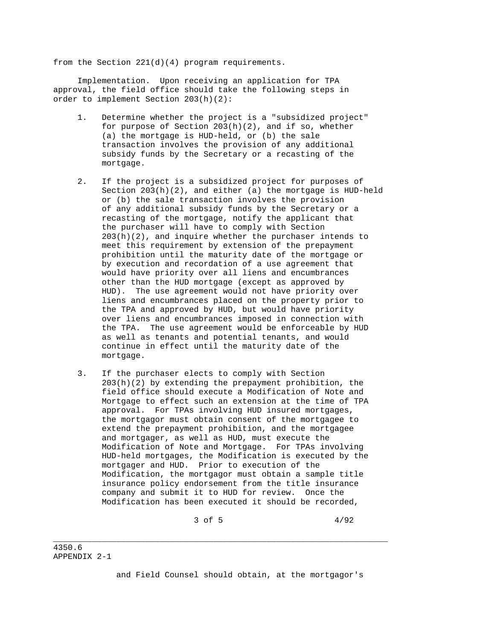from the Section 221(d)(4) program requirements.

 Implementation. Upon receiving an application for TPA approval, the field office should take the following steps in order to implement Section 203(h)(2):

- 1. Determine whether the project is a "subsidized project" for purpose of Section 203(h)(2), and if so, whether (a) the mortgage is HUD-held, or (b) the sale transaction involves the provision of any additional subsidy funds by the Secretary or a recasting of the mortgage.
- 2. If the project is a subsidized project for purposes of Section 203(h)(2), and either (a) the mortgage is HUD-held or (b) the sale transaction involves the provision of any additional subsidy funds by the Secretary or a recasting of the mortgage, notify the applicant that the purchaser will have to comply with Section  $203(h)(2)$ , and inquire whether the purchaser intends to meet this requirement by extension of the prepayment prohibition until the maturity date of the mortgage or by execution and recordation of a use agreement that would have priority over all liens and encumbrances other than the HUD mortgage (except as approved by HUD). The use agreement would not have priority over liens and encumbrances placed on the property prior to the TPA and approved by HUD, but would have priority over liens and encumbrances imposed in connection with the TPA. The use agreement would be enforceable by HUD as well as tenants and potential tenants, and would continue in effect until the maturity date of the mortgage.
- 3. If the purchaser elects to comply with Section 203(h)(2) by extending the prepayment prohibition, the field office should execute a Modification of Note and Mortgage to effect such an extension at the time of TPA approval. For TPAs involving HUD insured mortgages, the mortgagor must obtain consent of the mortgagee to extend the prepayment prohibition, and the mortgagee and mortgager, as well as HUD, must execute the Modification of Note and Mortgage. For TPAs involving HUD-held mortgages, the Modification is executed by the mortgager and HUD. Prior to execution of the Modification, the mortgagor must obtain a sample title insurance policy endorsement from the title insurance company and submit it to HUD for review. Once the Modification has been executed it should be recorded,

\_\_\_\_\_\_\_\_\_\_\_\_\_\_\_\_\_\_\_\_\_\_\_\_\_\_\_\_\_\_\_\_\_\_\_\_\_\_\_\_\_\_\_\_\_\_\_\_\_\_\_\_\_\_\_\_\_\_\_\_\_\_\_\_\_\_\_\_\_

 $3 \text{ of } 5$   $4/92$ 

and Field Counsel should obtain, at the mortgagor's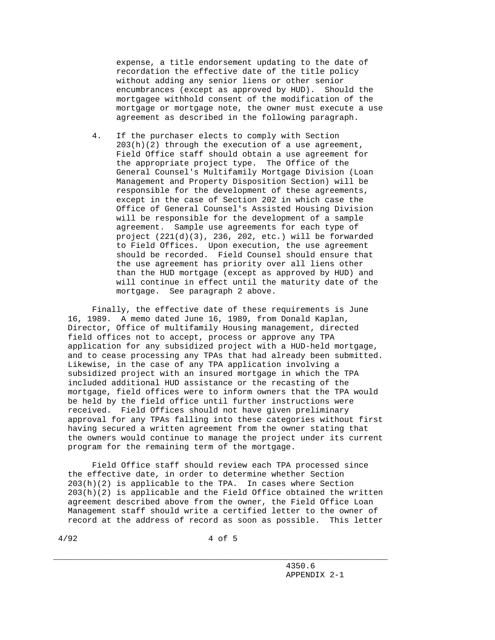expense, a title endorsement updating to the date of recordation the effective date of the title policy without adding any senior liens or other senior encumbrances (except as approved by HUD). Should the mortgagee withhold consent of the modification of the mortgage or mortgage note, the owner must execute a use agreement as described in the following paragraph.

 4. If the purchaser elects to comply with Section  $203(h)(2)$  through the execution of a use agreement, Field Office staff should obtain a use agreement for the appropriate project type. The Office of the General Counsel's Multifamily Mortgage Division (Loan Management and Property Disposition Section) will be responsible for the development of these agreements, except in the case of Section 202 in which case the Office of General Counsel's Assisted Housing Division will be responsible for the development of a sample agreement. Sample use agreements for each type of project (221(d)(3), 236, 202, etc.) will be forwarded to Field Offices. Upon execution, the use agreement should be recorded. Field Counsel should ensure that the use agreement has priority over all liens other than the HUD mortgage (except as approved by HUD) and will continue in effect until the maturity date of the mortgage. See paragraph 2 above.

 Finally, the effective date of these requirements is June 16, 1989. A memo dated June 16, 1989, from Donald Kaplan, Director, Office of multifamily Housing management, directed field offices not to accept, process or approve any TPA application for any subsidized project with a HUD-held mortgage, and to cease processing any TPAs that had already been submitted. Likewise, in the case of any TPA application involving a subsidized project with an insured mortgage in which the TPA included additional HUD assistance or the recasting of the mortgage, field offices were to inform owners that the TPA would be held by the field office until further instructions were received. Field Offices should not have given preliminary approval for any TPAs falling into these categories without first having secured a written agreement from the owner stating that the owners would continue to manage the project under its current program for the remaining term of the mortgage.

 Field Office staff should review each TPA processed since the effective date, in order to determine whether Section 203(h)(2) is applicable to the TPA. In cases where Section  $203(h)(2)$  is applicable and the Field Office obtained the written agreement described above from the owner, the Field Office Loan Management staff should write a certified letter to the owner of record at the address of record as soon as possible. This letter

\_\_\_\_\_\_\_\_\_\_\_\_\_\_\_\_\_\_\_\_\_\_\_\_\_\_\_\_\_\_\_\_\_\_\_\_\_\_\_\_\_\_\_\_\_\_\_\_\_\_\_\_\_\_\_\_\_\_\_\_\_\_\_\_\_\_\_\_\_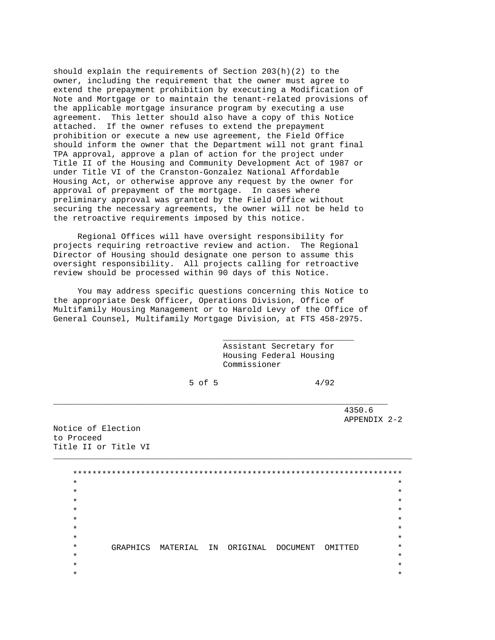should explain the requirements of Section  $203(h)(2)$  to the owner, including the requirement that the owner must agree to extend the prepayment prohibition by executing a Modification of Note and Mortgage or to maintain the tenant-related provisions of the applicable mortgage insurance program by executing a use agreement. This letter should also have a copy of this Notice attached. If the owner refuses to extend the prepayment prohibition or execute a new use agreement, the Field Office should inform the owner that the Department will not grant final TPA approval, approve a plan of action for the project under Title II of the Housing and Community Development Act of 1987 or under Title VI of the Cranston-Gonzalez National Affordable Housing Act, or otherwise approve any request by the owner for approval of prepayment of the mortgage. In cases where preliminary approval was granted by the Field Office without securing the necessary agreements, the owner will not be held to the retroactive requirements imposed by this notice.

 Regional Offices will have oversight responsibility for projects requiring retroactive review and action. The Regional Director of Housing should designate one person to assume this oversight responsibility. All projects calling for retroactive review should be processed within 90 days of this Notice.

 You may address specific questions concerning this Notice to the appropriate Desk Officer, Operations Division, Office of Multifamily Housing Management or to Harold Levy of the Office of General Counsel, Multifamily Mortgage Division, at FTS 458-2975.

 $\overline{\phantom{a}}$  , which is a set of the set of the set of the set of the set of the set of the set of the set of the set of the set of the set of the set of the set of the set of the set of the set of the set of the set of th

 Assistant Secretary for Housing Federal Housing Commissioner

 $5$  of 5  $4/92$ 

\_\_\_\_\_\_\_\_\_\_\_\_\_\_\_\_\_\_\_\_\_\_\_\_\_\_\_\_\_\_\_\_\_\_\_\_\_\_\_\_\_\_\_\_\_\_\_\_\_\_\_\_\_\_\_\_\_\_\_\_\_\_\_\_\_\_\_\_\_

 4350.6 APPENDIX 2-2

Notice of Election to Proceed Title II or Title VI

 \*\*\*\*\*\*\*\*\*\*\*\*\*\*\*\*\*\*\*\*\*\*\*\*\*\*\*\*\*\*\*\*\*\*\*\*\*\*\*\*\*\*\*\*\*\*\*\*\*\*\*\*\*\*\*\*\*\*\*\*\*\*\*\*\*\*\*\*  $\star$  \*  $\star$   $\star$  $\star$  \*  $\star$  \*  $\star$  \*  $\star$  \*  $\star$   $\star$  \* GRAPHICS MATERIAL IN ORIGINAL DOCUMENT OMITTED \*  $\star$  \*  $\star$  \*  $\star$  \*

 $\_$  , and the set of the set of the set of the set of the set of the set of the set of the set of the set of the set of the set of the set of the set of the set of the set of the set of the set of the set of the set of th